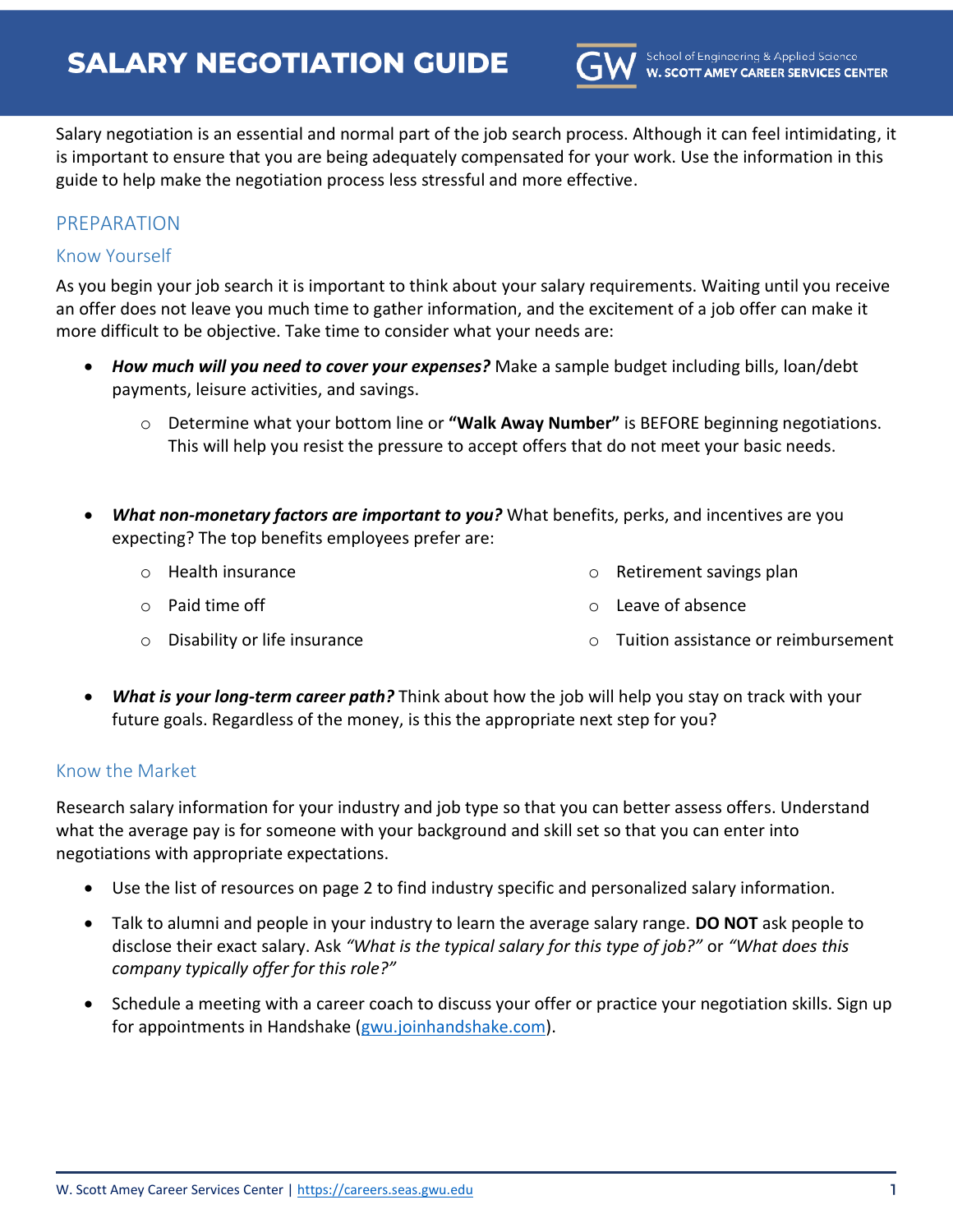

Salary negotiation is an essential and normal part of the job search process. Although it can feel intimidating, it is important to ensure that you are being adequately compensated for your work. Use the information in this guide to help make the negotiation process less stressful and more effective.

# PREPARATION

### Know Yourself

As you begin your job search it is important to think about your salary requirements. Waiting until you receive an offer does not leave you much time to gather information, and the excitement of a job offer can make it more difficult to be objective. Take time to consider what your needs are:

- *How much will you need to cover your expenses?* Make a sample budget including bills, loan/debt payments, leisure activities, and savings.
	- o Determine what your bottom line or **"Walk Away Number"** is BEFORE beginning negotiations. This will help you resist the pressure to accept offers that do not meet your basic needs.
- *What non-monetary factors are important to you?* What benefits, perks, and incentives are you expecting? The top benefits employees prefer are:
	- o Health insurance

o Retirement savings plan

o Paid time off

- o Leave of absence
- o Disability or life insurance o Tuition assistance or reimbursement
- *What is your long-term career path?* Think about how the job will help you stay on track with your future goals. Regardless of the money, is this the appropriate next step for you?

#### Know the Market

Research salary information for your industry and job type so that you can better assess offers. Understand what the average pay is for someone with your background and skill set so that you can enter into negotiations with appropriate expectations.

- Use the list of resources on page 2 to find industry specific and personalized salary information.
- Talk to alumni and people in your industry to learn the average salary range. **DO NOT** ask people to disclose their exact salary. Ask *"What is the typical salary for this type of job?"* or *"What does this company typically offer for this role?"*
- Schedule a meeting with a career coach to discuss your offer or practice your negotiation skills. Sign up for appointments in Handshake [\(gwu.joinhandshake.com\)](https://gwu.joinhandshake.com/).